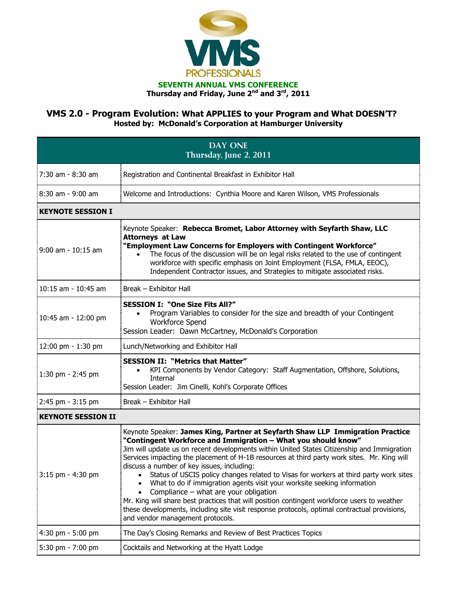

## **VMS 2.0 - Program Evolution: What APPLIES to your Program and What DOESN'T? Hosted by: McDonald's Corporation at Hamburger University**

| <b>DAY ONE</b><br>Thursday, June 2, 2011 |                                                                                                                                                                                                                                                                                                                                                                                                                                                                                                                                                                                                                                                                                                                                                                                                                                             |  |
|------------------------------------------|---------------------------------------------------------------------------------------------------------------------------------------------------------------------------------------------------------------------------------------------------------------------------------------------------------------------------------------------------------------------------------------------------------------------------------------------------------------------------------------------------------------------------------------------------------------------------------------------------------------------------------------------------------------------------------------------------------------------------------------------------------------------------------------------------------------------------------------------|--|
| 7:30 am - 8:30 am                        | Registration and Continental Breakfast in Exhibitor Hall                                                                                                                                                                                                                                                                                                                                                                                                                                                                                                                                                                                                                                                                                                                                                                                    |  |
| $8:30$ am - $9:00$ am                    | Welcome and Introductions: Cynthia Moore and Karen Wilson, VMS Professionals                                                                                                                                                                                                                                                                                                                                                                                                                                                                                                                                                                                                                                                                                                                                                                |  |
| <b>KEYNOTE SESSION I</b>                 |                                                                                                                                                                                                                                                                                                                                                                                                                                                                                                                                                                                                                                                                                                                                                                                                                                             |  |
| $9:00$ am - $10:15$ am                   | Keynote Speaker: Rebecca Bromet, Labor Attorney with Seyfarth Shaw, LLC<br><b>Attorneys at Law</b><br>"Employment Law Concerns for Employers with Contingent Workforce"<br>The focus of the discussion will be on legal risks related to the use of contingent<br>$\bullet$<br>workforce with specific emphasis on Joint Employment (FLSA, FMLA, EEOC),<br>Independent Contractor issues, and Strategies to mitigate associated risks.                                                                                                                                                                                                                                                                                                                                                                                                      |  |
| $10:15$ am - $10:45$ am                  | Break - Exhibitor Hall                                                                                                                                                                                                                                                                                                                                                                                                                                                                                                                                                                                                                                                                                                                                                                                                                      |  |
| 10:45 am - 12:00 pm                      | <b>SESSION I: "One Size Fits All?"</b><br>Program Variables to consider for the size and breadth of your Contingent<br>Workforce Spend<br>Session Leader: Dawn McCartney, McDonald's Corporation                                                                                                                                                                                                                                                                                                                                                                                                                                                                                                                                                                                                                                            |  |
| 12:00 pm - 1:30 pm                       | Lunch/Networking and Exhibitor Hall                                                                                                                                                                                                                                                                                                                                                                                                                                                                                                                                                                                                                                                                                                                                                                                                         |  |
| 1:30 pm - 2:45 pm                        | <b>SESSION II: "Metrics that Matter"</b><br>KPI Components by Vendor Category: Staff Augmentation, Offshore, Solutions,<br>Internal<br>Session Leader: Jim Cinelli, Kohl's Corporate Offices                                                                                                                                                                                                                                                                                                                                                                                                                                                                                                                                                                                                                                                |  |
| 2:45 pm - 3:15 pm                        | Break - Exhibitor Hall                                                                                                                                                                                                                                                                                                                                                                                                                                                                                                                                                                                                                                                                                                                                                                                                                      |  |
| <b>KEYNOTE SESSION II</b>                |                                                                                                                                                                                                                                                                                                                                                                                                                                                                                                                                                                                                                                                                                                                                                                                                                                             |  |
| 3:15 pm - 4:30 pm                        | Keynote Speaker: James King, Partner at Seyfarth Shaw LLP Immigration Practice<br>"Contingent Workforce and Immigration - What you should know"<br>Jim will update us on recent developments within United States Citizenship and Immigration<br>Services impacting the placement of H-1B resources at third party work sites. Mr. King will<br>discuss a number of key issues, including:<br>Status of USCIS policy changes related to Visas for workers at third party work sites<br>What to do if immigration agents visit your worksite seeking information<br>Compliance - what are your obligation<br>Mr. King will share best practices that will position contingent workforce users to weather<br>these developments, including site visit response protocols, optimal contractual provisions,<br>and vendor management protocols. |  |
| 4:30 pm - 5:00 pm                        | The Day's Closing Remarks and Review of Best Practices Topics                                                                                                                                                                                                                                                                                                                                                                                                                                                                                                                                                                                                                                                                                                                                                                               |  |
| 5:30 pm - 7:00 pm                        | Cocktails and Networking at the Hyatt Lodge                                                                                                                                                                                                                                                                                                                                                                                                                                                                                                                                                                                                                                                                                                                                                                                                 |  |